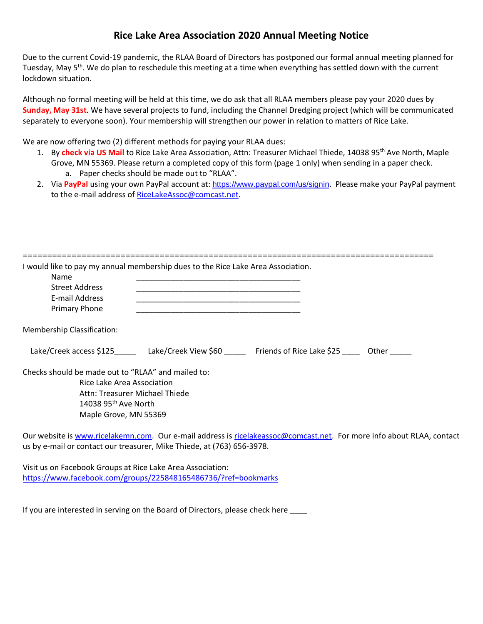## **Rice Lake Area Association 2020 Annual Meeting Notice**

Due to the current Covid-19 pandemic, the RLAA Board of Directors has postponed our formal annual meeting planned for Tuesday, May 5<sup>th</sup>. We do plan to reschedule this meeting at a time when everything has settled down with the current lockdown situation.

Although no formal meeting will be held at this time, we do ask that all RLAA members please pay your 2020 dues by **Sunday, May 31st**. We have several projects to fund, including the Channel Dredging project (which will be communicated separately to everyone soon). Your membership will strengthen our power in relation to matters of Rice Lake.

We are now offering two (2) different methods for paying your RLAA dues:

- 1. By **check via US Mail** to Rice Lake Area Association, Attn: Treasurer Michael Thiede, 14038 95th Ave North, Maple Grove, MN 55369. Please return a completed copy of this form (page 1 only) when sending in a paper check. a. Paper checks should be made out to "RLAA".
	-
- 2. Via **PayPal** using your own PayPal account at: <https://www.paypal.com/us/signin>. Please make your PayPal payment to the e-mail address of [RiceLakeAssoc@comcast.net.](mailto:RiceLakeAssoc@comcast.net)

| Name                                               |                                                                              |  |
|----------------------------------------------------|------------------------------------------------------------------------------|--|
| <b>Street Address</b>                              |                                                                              |  |
| E-mail Address                                     |                                                                              |  |
| Primary Phone                                      |                                                                              |  |
| Membership Classification:                         |                                                                              |  |
|                                                    | Lake/Creek access \$125 Lake/Creek View \$60 Friends of Rice Lake \$25 Other |  |
| Checks should be made out to "RLAA" and mailed to: |                                                                              |  |
| Rice Lake Area Association                         |                                                                              |  |
|                                                    | Attn: Treasurer Michael Thiede                                               |  |
| 14038 95 <sup>th</sup> Ave North                   |                                                                              |  |
| Maple Grove, MN 55369                              |                                                                              |  |

Our website is [www.ricelakemn.com.](http://www.ricelakemn.com/) Our e-mail address is [ricelakeassoc@comcast.net.](mailto:ricelakeassoc@comcast.net) For more info about RLAA, contact us by e-mail or contact our treasurer, Mike Thiede, at (763) 656-3978.

Visit us on Facebook Groups at Rice Lake Area Association: <https://www.facebook.com/groups/225848165486736/?ref=bookmarks>

If you are interested in serving on the Board of Directors, please check here